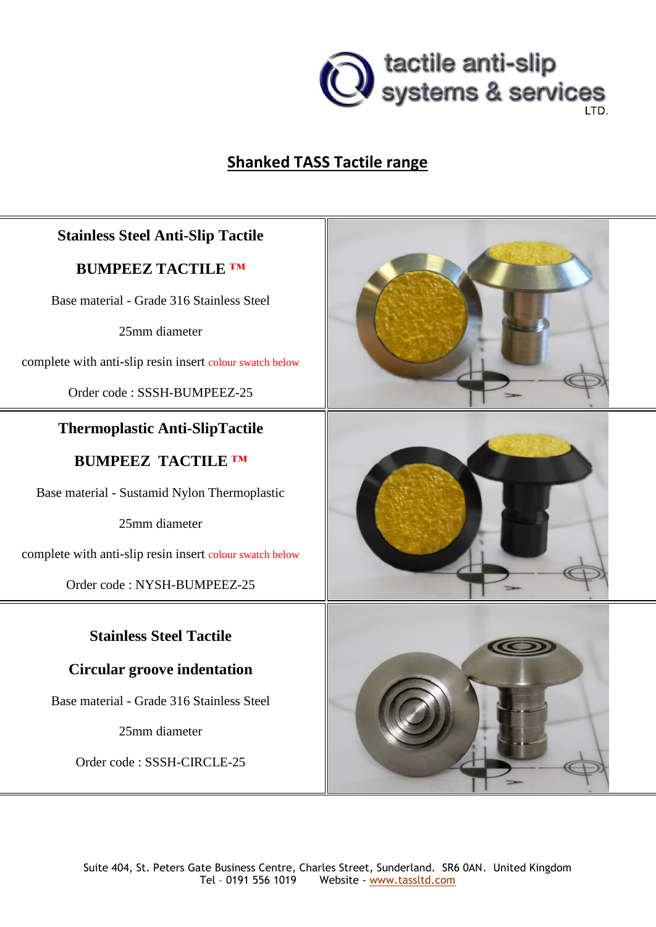

# **Shanked TASS Tactile range**

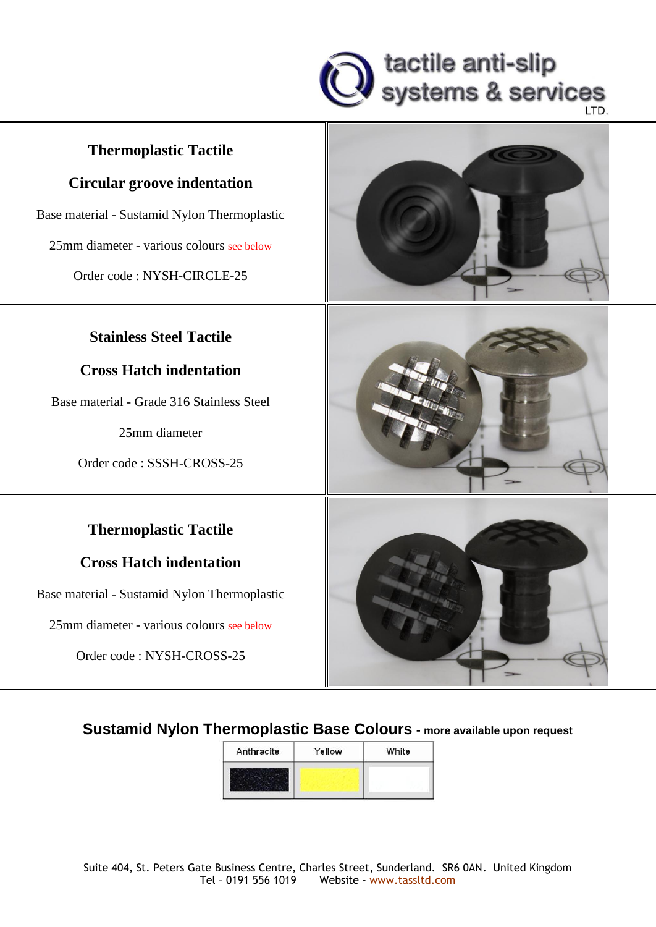

### **Thermoplastic Tactile**

#### **Circular groove indentation**

Base material - Sustamid Nylon Thermoplastic

25mm diameter - various colours see below

Order code : NYSH-CIRCLE-25

#### **Stainless Steel Tactile**

#### **Cross Hatch indentation**

Base material - Grade 316 Stainless Steel

25mm diameter

Order code : SSSH-CROSS-25

#### **Thermoplastic Tactile**

#### **Cross Hatch indentation**

Base material - Sustamid Nylon Thermoplastic

25mm diameter - various colours see below

Order code : NYSH-CROSS-25







**Sustamid Nylon Thermoplastic Base Colours - more available upon request**

| Anthracite | Yellow | White |  |  |
|------------|--------|-------|--|--|
|            |        |       |  |  |